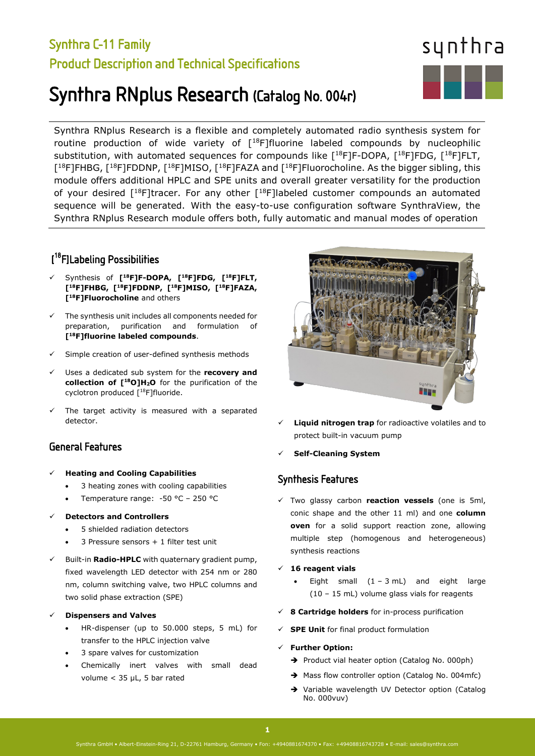# Synthra C-11 Family Product Description and Technical Specifications

# Synthra RNplus Research (Catalog No. 004r)

Synthra RNplus Research is a flexible and completely automated radio synthesis system for routine production of wide variety of  $[18F]$ fluorine labeled compounds by nucleophilic substitution, with automated sequences for compounds like  $[18F]F-DOPA$ ,  $[18F]FDG$ ,  $[18F]FLT$ , [<sup>18</sup>F]FHBG, [<sup>18</sup>F]FDDNP, [<sup>18</sup>F]MISO, [<sup>18</sup>F]FAZA and [<sup>18</sup>F]Fluorocholine. As the bigger sibling, this module offers additional HPLC and SPE units and overall greater versatility for the production of your desired  $[18F]$ tracer. For any other  $[18F]$ labeled customer compounds an automated sequence will be generated. With the easy-to-use configuration software SynthraView, the Synthra RNplus Research module offers both, fully automatic and manual modes of operation

# [ 18F]Labeling Possibilities

- Synthesis of **[18F]F-DOPA, [18F]FDG, [18F]FLT, [18F]FHBG, [18F]FDDNP, [18F]MISO, [18F]FAZA, [18F]Fluorocholine** and others
- The synthesis unit includes all components needed for preparation, purification and formulation of **[18F]fluorine labeled compounds**.
- Simple creation of user-defined synthesis methods
- Uses a dedicated sub system for the **recovery and**  collection of [<sup>18</sup>O]H<sub>2</sub>O for the purification of the cyclotron produced [18F]fluoride.
- The target activity is measured with a separated detector.

### General Features

#### **Heating and Cooling Capabilities**

- 3 heating zones with cooling capabilities
- Temperature range: -50 °C 250 °C
- **Detectors and Controllers**
	- 5 shielded radiation detectors
	- 3 Pressure sensors + 1 filter test unit
- Built-in **Radio-HPLC** with quaternary gradient pump, fixed wavelength LED detector with 254 nm or 280 nm, column switching valve, two HPLC columns and two solid phase extraction (SPE)
- **Dispensers and Valves**
	- HR-dispenser (up to 50.000 steps, 5 mL) for transfer to the HPLC injection valve
	- 3 spare valves for customization
	- Chemically inert valves with small dead volume < 35 µL, 5 bar rated



synthra

- **Liquid nitrogen trap** for radioactive volatiles and to protect built-in vacuum pump
- **Self-Cleaning System**

## Synthesis Features

 Two glassy carbon **reaction vessels** (one is 5ml, conic shape and the other 11 ml) and one **column oven** for a solid support reaction zone, allowing multiple step (homogenous and heterogeneous) synthesis reactions

#### **16 reagent vials**

- Eight small  $(1 3 mL)$  and eight large (10 – 15 mL) volume glass vials for reagents
- **8 Cartridge holders** for in-process purification
- **SPE Unit** for final product formulation
- **Further Option:** 
	- Product vial heater option (Catalog No. 000ph)
	- $\rightarrow$  Mass flow controller option (Catalog No. 004mfc)
	- Variable wavelength UV Detector option (Catalog No. 000vuv)